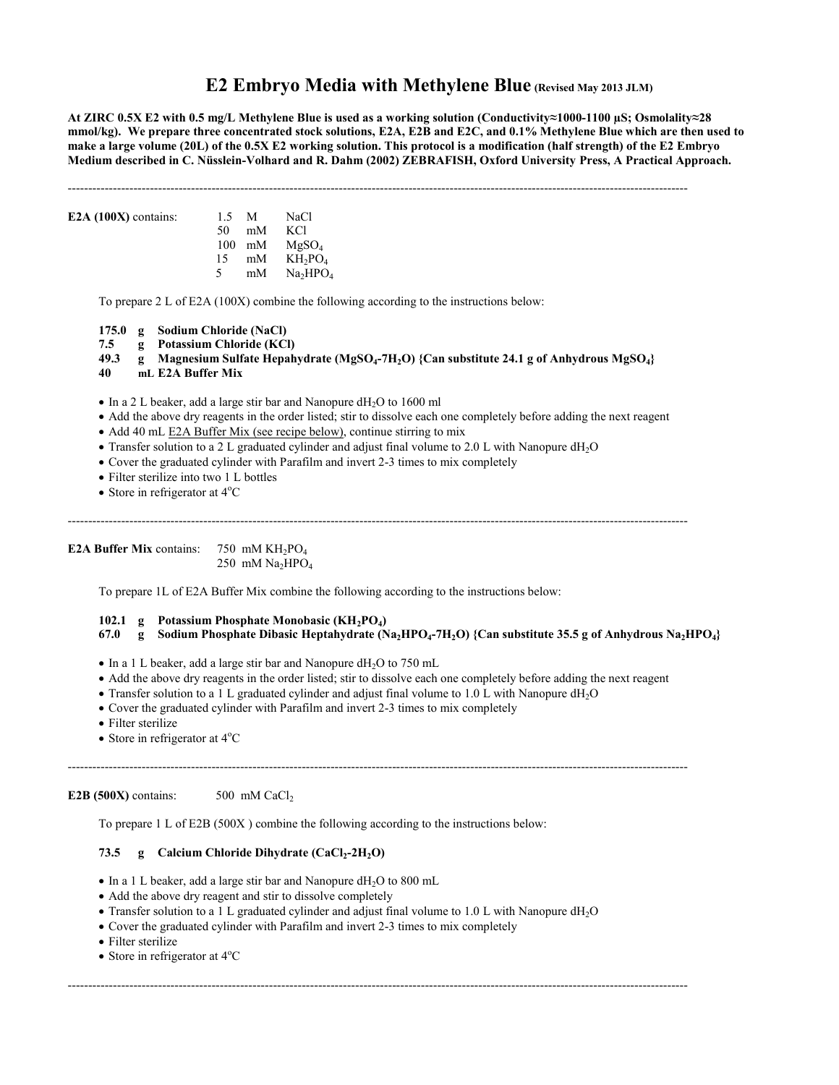# **E2 Embryo Media with Methylene Blue (Revised May 2013 JLM)**

**At ZIRC 0.5X E2 with 0.5 mg/L Methylene Blue is used as a working solution (Conductivity≈1000-1100 µS; Osmolality≈28 mmol/kg). We prepare three concentrated stock solutions, E2A, E2B and E2C, and 0.1% Methylene Blue which are then used to make a large volume (20L) of the 0.5X E2 working solution. This protocol is a modification (half strength) of the E2 Embryo Medium described in C. Nüsslein-Volhard and R. Dahm (2002) ZEBRAFISH, Oxford University Press, A Practical Approach.**

------------------------------------------------------------------------------------------------------------------------------------------------------- **E2A (100X)** contains: 1.5 M NaCl 50 mM KCl 100 mM  $MgSO<sub>4</sub>$ <br>15 mM  $KH<sub>2</sub>PO$  $mM$  KH<sub>2</sub>PO<sub>4</sub> 5 mM  $Na<sub>2</sub>HPO<sub>4</sub>$ To prepare 2 L of E2A (100X) combine the following according to the instructions below: **175.0 g Sodium Chloride (NaCl) 7.5 g Potassium Chloride (KCl) 49.3 g Magnesium Sulfate Hepahydrate (MgSO<sup>4</sup> -7H2O) {Can substitute 24.1 g of Anhydrous MgSO4} 40 mL E2A Buffer Mix**  $\bullet$  In a 2 L beaker, add a large stir bar and Nanopure dH<sub>2</sub>O to 1600 ml Add the above dry reagents in the order listed; stir to dissolve each one completely before adding the next reagent • Add 40 mL E2A Buffer Mix (see recipe below), continue stirring to mix • Transfer solution to a 2 L graduated cylinder and adjust final volume to 2.0 L with Nanopure dH<sub>2</sub>O Cover the graduated cylinder with Parafilm and invert 2-3 times to mix completely • Filter sterilize into two 1 L bottles • Store in refrigerator at  $4^{\circ}$ C -------------------------------------------------------------------------------------------------------------------------------------------------------

**E2A Buffer Mix** contains:  $750$  mM KH<sub>2</sub>PO<sub>4</sub> 250 mM  $Na<sub>2</sub>HPO<sub>4</sub>$ 

To prepare 1L of E2A Buffer Mix combine the following according to the instructions below:

# **102.1 g Potassium Phosphate Monobasic (KH2PO<sup>4</sup> )**

**67.0 g Sodium Phosphate Dibasic Heptahydrate (Na2HPO<sup>4</sup> -7H2O) {Can substitute 35.5 g of Anhydrous Na2HPO4}**

- $\bullet$  In a 1 L beaker, add a large stir bar and Nanopure dH<sub>2</sub>O to 750 mL
- Add the above dry reagents in the order listed; stir to dissolve each one completely before adding the next reagent

-------------------------------------------------------------------------------------------------------------------------------------------------------

-------------------------------------------------------------------------------------------------------------------------------------------------------

- Transfer solution to a 1 L graduated cylinder and adjust final volume to 1.0 L with Nanopure dH<sub>2</sub>O
- Cover the graduated cylinder with Parafilm and invert 2-3 times to mix completely
- Filter sterilize
- Store in refrigerator at  $4^{\circ}$ C

**E2B**  $(500X)$  contains:  $500 \text{ mM } CaCl<sub>2</sub>$ 

To prepare 1 L of E2B (500X ) combine the following according to the instructions below:

### **73.5 g Calcium Chloride Dihydrate (CaCl<sup>2</sup> -2H2O)**

- In a 1 L beaker, add a large stir bar and Nanopure dH<sub>2</sub>O to 800 mL
- Add the above dry reagent and stir to dissolve completely
- Transfer solution to a 1 L graduated cylinder and adjust final volume to 1.0 L with Nanopure dH<sub>2</sub>O
- Cover the graduated cylinder with Parafilm and invert 2-3 times to mix completely
- Filter sterilize
- Store in refrigerator at  $4^{\circ}$ C